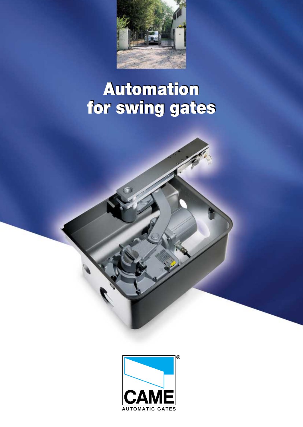

# **Automation Automation for swing gates for swing gates**

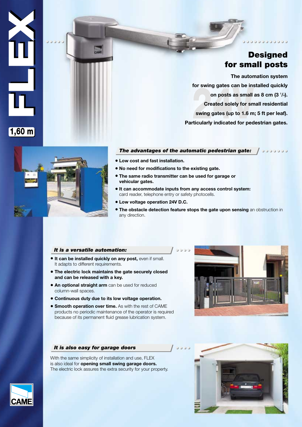## **Designed for small posts**

000000000

on posts as small<br>Created solely for sn<br>swing gates (up to 1.6 m<br>ticularly indicated for pec **The automation system for swing gates can be installed quickly on posts as small as 8 cm (3 1 /4). Created solely for small residential swing gates (up to 1.6 m; 5 ft per leaf). Particularly indicated for pedestrian gates.**



- **Low cost and fast installation.**
- **No need for modifications to the existing gate.**
- **The same radio transmitter can be used for garage or vehicular gates.**
- **It can accommodate inputs from any access control system:** card reader, telephone entry or safety photocells.
- **Low voltage operation 24V D.C.**
- **The obstacle detection feature stops the gate upon sensing** an obstruction in any direction.

## *It is a versatile automation:*

- **It can be installed quickly on any post,** even if small. It adapts to different requirements.
- **The electric lock maintains the gate securely closed and can be released with a key.**
- **An optional straight arm** can be used for reduced column-wall spaces.
- **Continuous duty due to its low voltage operation.**
- **Smooth operation over time.** As with the rest of CAME products no periodic maintenance of the operator is required because of its permanent fluid grease lubrication system.



## *It is also easy for garage doors*

With the same simplicity of installation and use, FLEX is also ideal for **opening small swing garage doors.** The electric lock assures the extra security for your property.





**FLEX**

**1,60 m**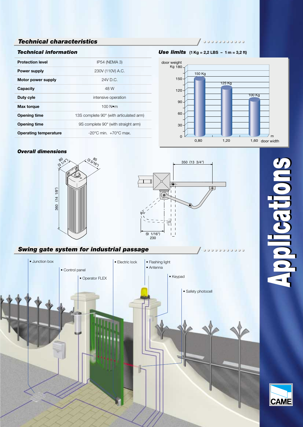## **JIDOUGUCCOON**

*Use limits* **(1 Kg = 2,2 LBS – 1 m = 3,2 ft)**





JOUDE

## *Overall dimensions*





## *Swing gate system for industrial passage*



# **Applications Applications**

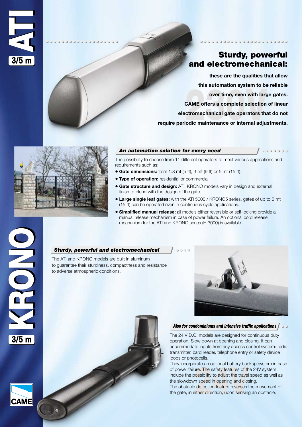

## **Sturdy, powerful and electromechanical:**

00000000000000

000000

over time, even with larged and the CAME offers a complete selection<br>**230V** ctromechanical gate operators the<br>230V iodic maintenance or internal adju **these are the qualities that allow this automation system to be reliable over time, even with large gates. CAME offers a complete selection of linear electromechanical gate operators that do not require periodic maintenance or internal adjustments.**



**OCCCCCCCCCCCCCCCC.** 

## *An automation solution for every need*

The possibility to choose from 11 different operators to meet various applications and requirements such as:

- **Gate dimensions:** from 1.8 mt (5 ft); 3 mt (9 ft) or 5 mt (15 ft).
- **Type of operation:** residential or commercial.
- **Gate structure and design:** ATI, KRONO models vary in design and external finish to blend with the design of the gate.
- **Large single leaf gates:** with the ATI 5000 / KRONO5 series, gates of up to 5 mt (15 ft) can be operated even in continuous cycle applications.
- **Simplified manual release:** all models either reversible or self-locking provide a manual release mechanism in case of power failure. An optional cord release mechanism for the ATI and KRONO series (H 3000) is available.

## *Sturdy, powerful and electromechanical*

The ATI and KRONO models are built in aluminum to guarantee their sturdiness, compactness and resistance to adverse atmospheric conditions.



## *Also for condominiums and intensive traffic applications*

The 24 V D.C. models are designed for continuous duty operation. Slow down at opening and closing. It can accommodate inputs from any access control system: radio transmitter, card reader, telephone entry or safety device loops or photocells.

**24 Avenue Avenue Avenue Avenue Avenue Avenue Avenue Avenue Avenue Avenue Avenue Avenue Avenue Avenue Avenue Avenue Avenue Avenue Avenue Avenue Avenue Avenue Avenue Avenue Avenue Avenue Avenue Avenue Avenue Avenue Avenue A** They incorporate an optional battery backup system in case of power failure. The safety features of the 24V system include the possibility to adjust the travel speed as well as the slowdown speed in opening and closing. The obstacle detection feature reverses the movement of the gate, in either direction, upon sensing an obstacle.



**3/5 m**

OILO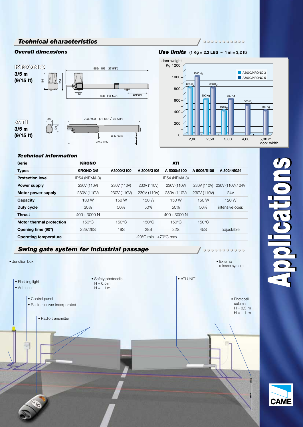

## **DOCCCCCCCC**

**Overall dimensions Use limits**  $(1 \text{ Kg} = 2,2 \text{ LBS} - 1 \text{ m} = 3,2 \text{ ft})$ 



**OCCCCCCCCCC** 

## *Technical information*

| <b>Serie</b>                    | <b>KRONO</b>      |                 |                                           | <b>ATI</b>           |                 |                   |
|---------------------------------|-------------------|-----------------|-------------------------------------------|----------------------|-----------------|-------------------|
| <b>Types</b>                    | KRONO 3/5         | A3000/3100      | A 3006/3106                               | A 5000/5100          | A 5006/5106     | A 3024/5024       |
| <b>Protection level</b>         | IP54 (NEMA 3)     |                 |                                           | <b>IP54 (NEMA 3)</b> |                 |                   |
| <b>Power supply</b>             | 230V (110V)       | 230V (110V)     | 230V (110V)                               | 230V (110V)          | 230V (110V)     | 230V (110V) / 24V |
| Motor power supply              | 230V (110V)       | 230V (110V)     | 230V (110V)                               | 230V (110V)          | 230V (110V)     | 24V               |
| Capacity                        | 130 W             | 150 W           | 150 W                                     | 150 W                | 150 W           | 120 W             |
| Duty cycle                      | 30%               | 50%             | 50%                                       | 50%                  | 50%             | intensive oper.   |
| <b>Thrust</b>                   | $400 \div 3000$ N |                 |                                           | $400 \div 3000$ N    |                 |                   |
| <b>Motor thermal protection</b> | $150^{\circ}$ C   | $150^{\circ}$ C | $150^{\circ}$ C                           | $150^{\circ}$ C      | $150^{\circ}$ C |                   |
| Opening time (90°)              | 22S/26S           | 19S             | <b>28S</b>                                | 32S                  | 45S             | adjustable        |
| <b>Operating temperature</b>    |                   |                 | $-20^{\circ}$ C min. $+70^{\circ}$ C max. |                      |                 |                   |

## *Swing gate system for industrial passage*



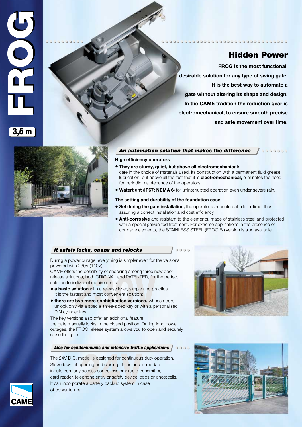

**Hidden Power**

**ODDOOD** 

**FROG is the most functional, desirable solution for any type of swing gate. It is the best way to automate a gate without altering its shape and design. In the CAME tradition the reduction gear is electromechanical, to ensure smooth precise and safe movement over time.**

**POCOCOCOCOCOCOCOCOCOCOCOCOCOCO** 



## *An automation solution that makes the difference*

**High efficiency operators**

- **They are sturdy, quiet, but above all electromechanical:** care in the choice of materials used, its construction with a permanent fluid grease lubrication, but above all the fact that it is **electromechanical,** eliminates the need for periodic maintenance of the operators.
- **Watertight** (**IP67; NEMA 6**) for uninterrupted operation even under severe rain.

## **The setting and durability of the foundation case**

- **Set during the gate installation,** the operator is mounted at a later time, thus, assuring a correct installation and cost efficiency.
- **Anti-corrosive** and resistant to the elements, made of stainless steel and protected with a special galvanized treatment. For extreme applications in the presence of corrosive elements, the STAINLESS STEEL (FROG BI) version is also available.

## *It safely locks, opens and relocks*

During a power outage, everything is simpler even for the versions powered with 230V (110V).

CAME offers the possibility of choosing among three new door release solutions, both ORIGINAL and PATENTED, for the perfect solution to individual requirements:

- **a basic solution** with a release lever, simple and practical. It is the fastest and most convenient solution;
- **230**<br>**241 And Solution** with a release lever, simple and protest and most convenient solution;<br>**2232 And Most Convenient solution;**<br>**2433 And Solution Solutions with a protest special three-sided key or with a protest<br>Pro** • **there are two more sophisticated versions,** whose doors unlock only via a special three-sided key or with a personalised DIN cylinder key.

The key versions also offer an additional feature: the gate manually locks in the closed position. During long power outages, the FROG release system allows you to open and securely close the gate.

## *Also for condominiums and intensive traffic applications*

positive and closing. It can accorded to continuous<br>pening and closing. It can accorded<br>access control system: radio traphone entry or safety device lo<br>te a battery backup system in c The 24V D.C. model is designed for continuous duty operation. Slow down at opening and closing. It can accommodate inputs from any access control system: radio transmitter, card reader, telephone entry or safety device loops or photocells. It can incorporate a battery backup system in case of power failure.





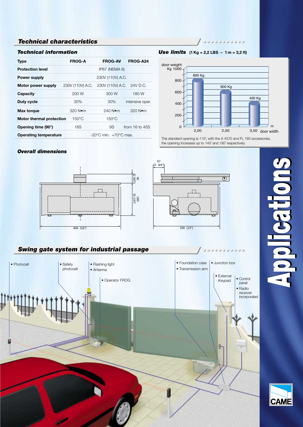## *Technical information*

| <b>Type</b>                     | <b>FROG-A</b>                             | <b>FROG-AV</b>            | FROG-A24            |  |
|---------------------------------|-------------------------------------------|---------------------------|---------------------|--|
| <b>Protection level</b>         |                                           | IP67 (NEMA 6)             |                     |  |
| <b>Power supply</b>             |                                           | 230V (110V) A.C.          |                     |  |
| Motor power supply              | 230V (110V) A.C.                          | 230V (110V) A.C. 24V D.C. |                     |  |
| <b>Capacity</b>                 | 200 W                                     | 300 W                     | 180 W               |  |
| Duty cycle                      | 30%                                       | 30%                       | intensive oper.     |  |
| Max torque                      | 320 N•m                                   | $240$ N $\bullet$ m       | $320$ N $\bullet$ m |  |
| <b>Motor thermal protection</b> | $150^{\circ}$ C                           | $150^{\circ}$ C           |                     |  |
| Opening time (90°)              | 18S                                       | 9S                        | from $16$ to $45S$  |  |
| <b>Operating temperature</b>    | $-20^{\circ}$ C min. $+70^{\circ}$ C max. |                           |                     |  |

**DOCCCCCCCCC** 





The standard opening is 110˚; with the A 4370 and FL 180 accessories, the opening increases up to 140˚ and 180˚ respectively.

 $\circledcirc$ 

67 (2 3/4")

## *Overall dimensions*



## *Swing gate system for industrial passage*



# **Applications Applications**

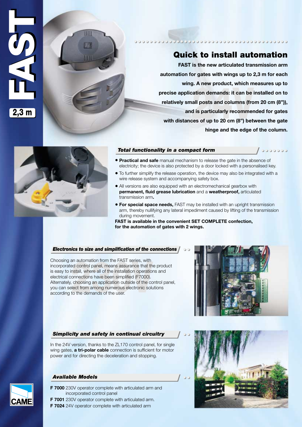

# **Quick to install automation**

**POCOCOCOCOCOCOCOCOCOCOCOCOCOCOCOCOCOCO** 

ation demands: it can be<br>all posts and columns (fro<br>d is particularly recommer<br>les of up to 20 cm (8") bet **FAST is the new articulated transmission arm automation for gates with wings up to 2,3 m for each wing. A new product, which measures up to precise application demands: it can be installed on to relatively small posts and columns (from 20 cm (8")), and is particularly recommended for gates with distances of up to 20 cm (8") between the gate hinge and the edge of the column.**

00000

Ш

## *Total functionality in a compact form*

- **Practical and safe** manual mechanism to release the gate in the absence of electricity; the device is also protected by a door locked with a personalised key.
- To further simplify the release operation, the device may also be integrated with a wire release system and accompanying safety box.
- All versions are also equipped with an electromechanical gearbox with **permanent, fluid grease lubrication** and a **weatherproof,** articulated transmission arm**.**
- **For special space needs,** FAST may be installed with an upright transmission arm, thereby nullifying any lateral impediment caused by lifting of the transmission during movement.

**FAST is available in the convenient SET COMPLETE confection, for the automation of gates with 2 wings.**

## *Electronics to size and simplification of the connections*

Example 12 and 13 assurance that the<br> **230 and 13 assurance that the installation operation**<br> **230 and 13 assurance that the installation operation**<br> **230 and 13 assurance that the constant operation**<br> **230 and 13 assuranc** Choosing an automation from the FAST series, with incorporated control panel, means assurance that the product is easy to install, where all of the installation operations and electrical connections have been simplified (F7000). Alternately, choosing an application outside of the control panel, you can select from among numerous electronic solutions according to the demands of the user.

## *Simplicity and safety in continual circuitry*

In the 24V version, thanks to the ZL170 control panel, for single wing gates, **a tri-polar cable** connection is sufficient for motor power and for directing the deceleration and stopping.



## *Available Models*

- **F 7000** 230V operator complete with articulated arm and incorporated control panel
- **F 7001** 230V operator complete with articulated arm.
- **F 7024** 24V operator complete with articulated arm



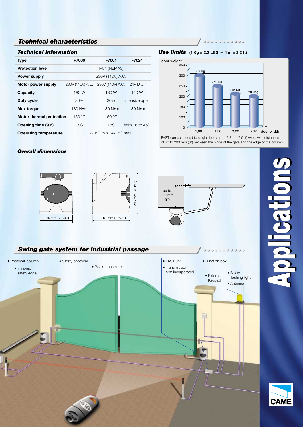## *Technical information*

| <b>Type</b>                     | F7000                                     | F7001            | F7024           |  |
|---------------------------------|-------------------------------------------|------------------|-----------------|--|
| <b>Protection level</b>         |                                           | IP54 (NEMA3)     |                 |  |
| <b>Power supply</b>             |                                           | 230V (110V) A.C. |                 |  |
| Motor power supply              | 230V (110V) A.C.                          | 230V (110V) A.C. | 24V D.C.        |  |
| Capacity                        | 160 W                                     | 160 W            | 140 W           |  |
| Duty cycle                      | 30%                                       | 30%              | intensive oper. |  |
| Max torque                      | 180 Nom                                   | 180 Nom          | 180 Nom         |  |
| <b>Motor thermal protection</b> | 150 °C                                    | 150 °C           |                 |  |
| Opening time (90°)              | 18S                                       | 18S              | from 16 to 45S  |  |
| <b>Operating temperature</b>    | $-20^{\circ}$ C min. $+70^{\circ}$ C max. |                  |                 |  |

## $/$ 100000000000

## *Use limits* **(1 Kg = 2,2 LBS – 1 m = 3,2 ft)**



FAST can be applied to single doors up to 2,3 mt (7,5 ft) wide, with distances of up to 200 mm (8") between the hinge of the gate and the edge of the column.

## *Overall dimensions*









**CAN** 

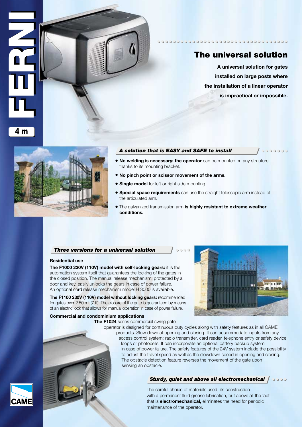

## **The universal solution**

**A universal solution for gates installed on large posts where the installation of a linear operator is impractical or impossible.**

000000



## *A solution that is EASY and SAFE to install*

- **No welding is necessary: the operator** can be mounted on any structure thanks to its mounting bracket.
- **No pinch point or scissor movement of the arms.**
- **Single model** for left or right side mounting.
- **Special space requirements** can use the straight telescopic arm instead of the articulated arm.
- The galvanized transmission arm **is highly resistant to extreme weather conditions.**

## *Three versions for a universal solution*

## **Residential use**

**The F1000 230V (110V) model with self-locking gears:** it is the automation system itself that guarantees the locking of the gates in the closed position. The manual release mechanism, protected by a door and key, easily unlocks the gears in case of power failure. An optional cord release mechanism model H 3000 is available.

ey, easily unlocks the gears in case of pov<br>**230V (110V) model without locking gear**<br>**230V (110V) model without locking gear**<br>er 2.50 mt (7 ft). The closure of the gate is guad block that allows for manual operation in cas **The F1100 230V (110V) model without locking gears:** recommended for gates over 2.50 mt (7 ft). The closure of the gate is guaranteed by means of an electric lock that allows for manual operation in case of power failure.

## **Commercial and condominium applications**

**The F1024** series commercial swing gate



## **Sturdy, quiet and above all electromechanical (3000)**

The careful choice of materials used, its construction with a permanent fluid grease lubrication, but above all the fact that is **electromechanical,** eliminates the need for periodic maintenance of the operator.

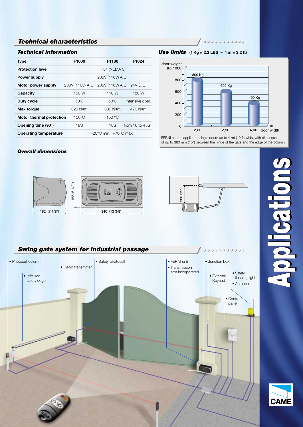## *Technical information*

| <b>Type</b>                                                               | F1000                                      | F1100            | F1024               |
|---------------------------------------------------------------------------|--------------------------------------------|------------------|---------------------|
| <b>Protection level</b>                                                   |                                            | IP54 (NEMA 3)    |                     |
| <b>Power supply</b>                                                       |                                            | 230V (110V) A.C. |                     |
| Motor power supply                                                        | 230V (110V) A.C. 230V (110V) A.C. 24V D.C. |                  |                     |
| Capacity                                                                  | 150 W                                      | 110 W            | 180 W               |
| Duty cycle                                                                | 50%                                        | 50%              | intensive oper.     |
| Max torque                                                                | 320 Nom                                    | 380 Nom          | $470$ N $\bullet$ m |
| <b>Motor thermal protection</b>                                           | $150^{\circ}$ C                            | 150 °C           |                     |
| Opening time (90°)                                                        | <b>18S</b>                                 | 18S              | from $16$ to $45S$  |
| $-20^{\circ}$ C min. $+70^{\circ}$ C max.<br><b>Operating temperature</b> |                                            |                  |                     |

 $/$ 00000000000

*Use limits* **(1 Kg = 2,2 LBS – 1 m = 3,2 ft)**



FERNI can be applied to single doors up to 4 mt (12 ft) wide, with distances of up to 380 mm (15") between the hinge of the gate and the edge of the column.

## *Overall dimensions*









**CAM**